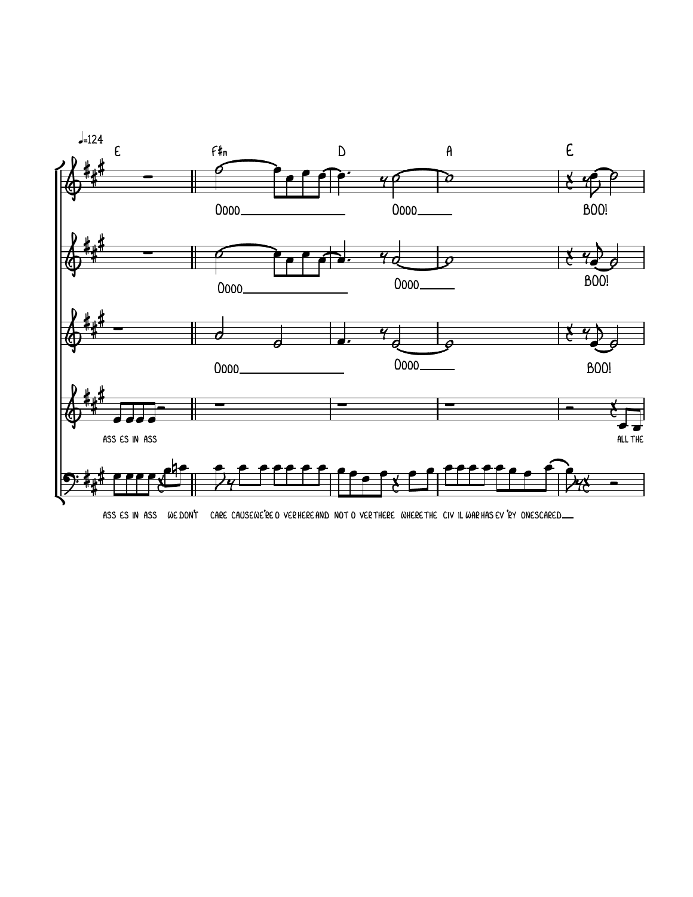

ASS ES IN ASS WE DON'T CARE CAUSEWE'RE O VERHERE AND NOT O VERTHERE WHERE THE CIVIL WAR HAS EV 'RY ONESCARED\_